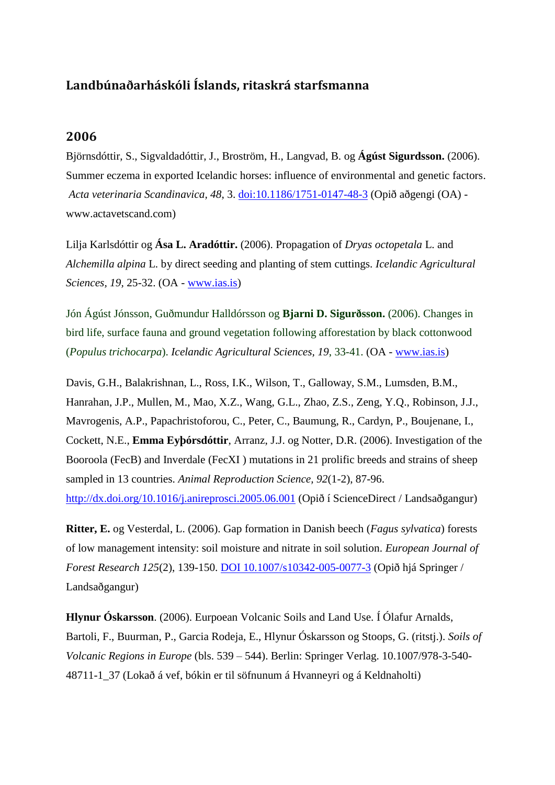## **Landbúnaðarháskóli Íslands, ritaskrá starfsmanna**

## **2006**

Björnsdóttir, S., Sigvaldadóttir, J., Broström, H., Langvad, B. og **Ágúst Sigurdsson.** (2006). Summer eczema in exported Icelandic horses: influence of environmental and genetic factors. *Acta veterinaria Scandinavica, 48*, 3. [doi:10.1186/1751-0147-48-3](http://www.actavetscand.com/content/pdf/1751-0147-48-3.pdf) (Opið aðgengi (OA) www.actavetscand.com)

Lilja Karlsdóttir og **Ása L. Aradóttir.** (2006). Propagation of *Dryas octopetala* L. and *Alchemilla alpina* L. by direct seeding and planting of stem cuttings. *Icelandic Agricultural Sciences, 19,* 25-32. (OA - [www.ias.is\)](http://www.ias.is/landbunadur/wgsamvef.nsf/5ed2a07393fec5fa002569b300397c5a/a6c185f7c65654b5002572160076cc75/$FILE/Propagation%20of%20Dryas.pdf)

Jón Ágúst Jónsson, Guðmundur Halldórsson og **Bjarni D. Sigurðsson.** (2006). Changes in bird life, surface fauna and ground vegetation following afforestation by black cottonwood (*Populus trichocarpa*). *Icelandic Agricultural Sciences, 19*, 33-41. (OA - [www.ias.is\)](http://www.ias.is/landbunadur/wgsamvef.nsf/5ed2a07393fec5fa002569b300397c5a/89b863ea765a8c2500257216007495b6/$FILE/Changes%20in%20bird%20life.pdf)

Davis, G.H., Balakrishnan, L., Ross, I.K., Wilson, T., Galloway, S.M., Lumsden, B.M., Hanrahan, J.P., Mullen, M., Mao, X.Z., Wang, G.L., Zhao, Z.S., Zeng, Y.Q., Robinson, J.J., Mavrogenis, A.P., Papachristoforou, C., Peter, C., Baumung, R., Cardyn, P., Boujenane, I., Cockett, N.E., **Emma Eyþórsdóttir**, Arranz, J.J. og Notter, D.R. (2006). Investigation of the Booroola (FecB) and Inverdale (FecXI ) mutations in 21 prolific breeds and strains of sheep sampled in 13 countries. *Animal Reproduction Science, 92*(1-2), 87-96. <http://dx.doi.org/10.1016/j.anireprosci.2005.06.001> (Opið í ScienceDirect / Landsaðgangur)

**Ritter, E.** og Vesterdal, L. (2006). Gap formation in Danish beech (*Fagus sylvatica*) forests of low management intensity: soil moisture and nitrate in soil solution. *European Journal of Forest Research 125*(2), 139-150. [DOI 10.1007/s10342-005-0077-3](http://download.springer.com/static/pdf/861/art%253A10.1007%252Fs10342-005-0077-3.pdf?auth66=1384435174_4b0cbec83972f8e153bdfc4bd4c41b76&ext=.pdf) (Opið hjá Springer / Landsaðgangur)

**Hlynur Óskarsson**. (2006). Eurpoean Volcanic Soils and Land Use. Í Ólafur Arnalds, Bartoli, F., Buurman, P., Garcia Rodeja, E., Hlynur Óskarsson og Stoops, G. (ritstj.). *Soils of Volcanic Regions in Europe* (bls. 539 – 544). Berlin: Springer Verlag. 10.1007/978-3-540- 48711-1\_37 (Lokað á vef, bókin er til söfnunum á Hvanneyri og á Keldnaholti)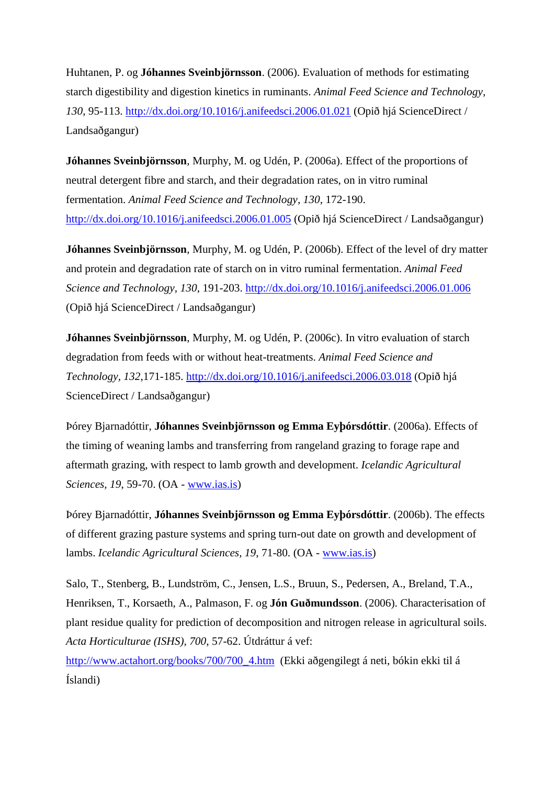Huhtanen, P. og **Jóhannes Sveinbjörnsson**. (2006). Evaluation of methods for estimating starch digestibility and digestion kinetics in ruminants. *Animal Feed Science and Technology, 130*, 95-113.<http://dx.doi.org/10.1016/j.anifeedsci.2006.01.021> (Opið hjá ScienceDirect / Landsaðgangur)

**Jóhannes Sveinbjörnsson**, Murphy, M. og Udén, P. (2006a). Effect of the proportions of neutral detergent fibre and starch, and their degradation rates, on in vitro ruminal fermentation. *Animal Feed Science and Technology, 130*, 172-190. <http://dx.doi.org/10.1016/j.anifeedsci.2006.01.005> (Opið hjá ScienceDirect / Landsaðgangur)

**Jóhannes Sveinbjörnsson**, Murphy, M. og Udén, P. (2006b). Effect of the level of dry matter and protein and degradation rate of starch on in vitro ruminal fermentation. *Animal Feed Science and Technology, 130*, 191-203. <http://dx.doi.org/10.1016/j.anifeedsci.2006.01.006> (Opið hjá ScienceDirect / Landsaðgangur)

**Jóhannes Sveinbjörnsson**, Murphy, M. og Udén, P. (2006c). In vitro evaluation of starch degradation from feeds with or without heat-treatments. *Animal Feed Science and Technology, 132*,171-185.<http://dx.doi.org/10.1016/j.anifeedsci.2006.03.018> (Opið hjá ScienceDirect / Landsaðgangur)

Þórey Bjarnadóttir, **Jóhannes Sveinbjörnsson og Emma Eyþórsdóttir**. (2006a). Effects of the timing of weaning lambs and transferring from rangeland grazing to forage rape and aftermath grazing, with respect to lamb growth and development. *Icelandic Agricultural Sciences, 19*, 59-70. (OA - [www.ias.is\)](http://www.ias.is/landbunadur/wgsamvef.nsf/key2/admr6v2u8c.html)

Þórey Bjarnadóttir, **Jóhannes Sveinbjörnsson og Emma Eyþórsdóttir**. (2006b). The effects of different grazing pasture systems and spring turn-out date on growth and development of lambs. *Icelandic Agricultural Sciences, 19*, 71-80. (OA - [www.ias.is\)](http://www.ias.is/landbunadur/wgsamvef.nsf/key2/admr6v2ulb.html)

Salo, T., Stenberg, B., Lundström, C., Jensen, L.S., Bruun, S., Pedersen, A., Breland, T.A., Henriksen, T., Korsaeth, A., Palmason, F. og **Jón Guðmundsson**. (2006). Characterisation of plant residue quality for prediction of decomposition and nitrogen release in agricultural soils. *Acta Horticulturae (ISHS), 700*, 57-62. Útdráttur á vef:

[http://www.actahort.org/books/700/700\\_4.htm](http://www.actahort.org/books/700/700_4.htm) (Ekki aðgengilegt á neti, bókin ekki til á Íslandi)